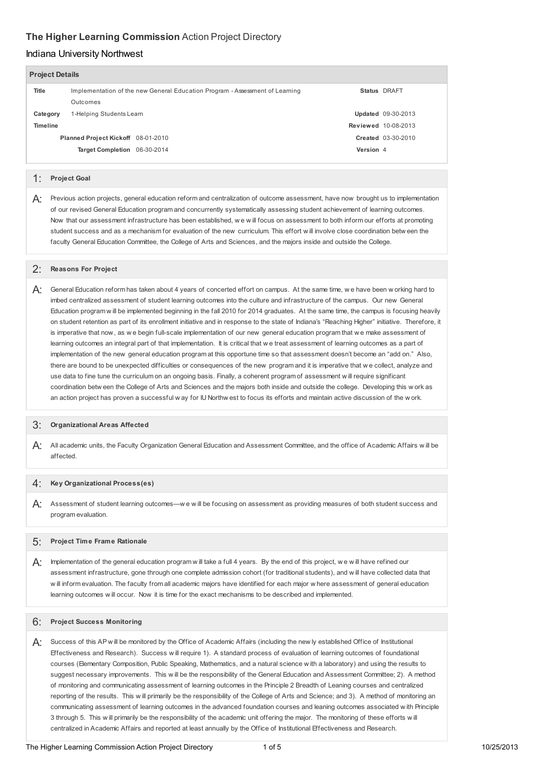# **The Higher Learning Commission** Action Project Directory

# Indiana University Northwest

| <b>Project Details</b> |                                     |                                                                              |            |           |                            |  |  |  |
|------------------------|-------------------------------------|------------------------------------------------------------------------------|------------|-----------|----------------------------|--|--|--|
|                        | Title                               | Implementation of the new General Education Program - Assessment of Learning |            |           | Status DRAFT               |  |  |  |
|                        |                                     | Outcomes                                                                     |            |           |                            |  |  |  |
|                        | 1-Helping Students Leam<br>Category |                                                                              |            |           | Updated 09-30-2013         |  |  |  |
|                        | <b>Timeline</b>                     |                                                                              |            |           | <b>Reviewed 10-08-2013</b> |  |  |  |
|                        |                                     | Planned Project Kickoff 08-01-2010                                           |            |           | <b>Created 03-30-2010</b>  |  |  |  |
|                        |                                     | <b>Target Completion</b>                                                     | 06-30-2014 | Version 4 |                            |  |  |  |
|                        |                                     |                                                                              |            |           |                            |  |  |  |

## 1: **Project Goal**

 $A$ : Previous action projects, general education reform and centralization of outcome assessment, have now brought us to implementation of our revised General Education program and concurrently systematically assessing student achievement of learning outcomes. Now that our assessment infrastructure has been established, w e w ill focus on assessment to both inform our efforts at promoting student success and as a mechanism for evaluation of the new curriculum. This effort w ill involve close coordination betw een the faculty General Education Committee, the College of Arts and Sciences, and the majors inside and outside the College.

# 2: **Reasons For Project**

 $A$ : General Education reform has taken about 4 years of concerted effort on campus. At the same time, we have been w orking hard to imbed centralized assessment of student learning outcomes into the culture and infrastructure of the campus. Our new General Education program w ill be implemented beginning in the fall 2010 for 2014 graduates. At the same time, the campus is focusing heavily on student retention as part of its enrollment initiative and in response to the state of Indiana's "Reaching Higher" initiative. Therefore, it is imperative that now, as w e begin full-scale implementation of our new general education program that w e make assessment of learning outcomes an integral part of that implementation. It is critical that w e treat assessment of learning outcomes as a part of implementation of the new general education program at this opportune time so that assessment doesn't become an "add on." Also, there are bound to be unexpected difficulties or consequences of the new program and it is imperative that w e collect, analyze and use data to fine tune the curriculum on an ongoing basis. Finally, a coherent program of assessment w ill require significant coordination betw een the College of Arts and Sciences and the majors both inside and outside the college. Developing this w ork as an action project has proven a successful w ay for IU Northw est to focus its efforts and maintain active discussion of the w ork.

# 3: **Organizational Areas Affected**

 $A$ : All academic units, the Faculty Organization General Education and Assessment Committee, and the office of Academic Affairs w ill be affected.

## 4: **Key Organizational Process(es)**

 $A$ : Assessment of student learning outcomes—we w ill be focusing on assessment as providing measures of both student success and program evaluation.

# 5: **Project Time Frame Rationale**

 $A$ : Implementation of the general education program w ill take a full 4 years. By the end of this project, w e w ill have refined our assessment infrastructure, gone through one complete admission cohort (for traditional students), and w ill have collected data that w ill inform evaluation. The faculty from all academic majors have identified for each major w here assessment of general education learning outcomes w ill occur. Now it is time for the exact mechanisms to be described and implemented.

## 6: **Project Success Monitoring**

 $A$ : Success of this AP will be monitored by the Office of Academic Affairs (including the new ly established Office of Institutional Effectiveness and Research). Success w ill require 1). A standard process of evaluation of learning outcomes of foundational courses (Elementary Composition, Public Speaking, Mathematics, and a natural science w ith a laboratory) and using the results to suggest necessary improvements. This w ill be the responsibility of the General Education and Assessment Committee; 2). A method of monitoring and communicating assessment of learning outcomes in the Principle 2 Breadth of Leaning courses and centralized reporting of the results. This w ill primarily be the responsibility of the College of Arts and Science; and 3). A method of monitoring an communicating assessment of learning outcomes in the advanced foundation courses and leaning outcomes associated w ith Principle 3 through 5. This w ill primarily be the responsibility of the academic unit offering the major. The monitoring of these efforts w ill centralized in Academic Affairs and reported at least annually by the Office of Institutional Effectiveness and Research.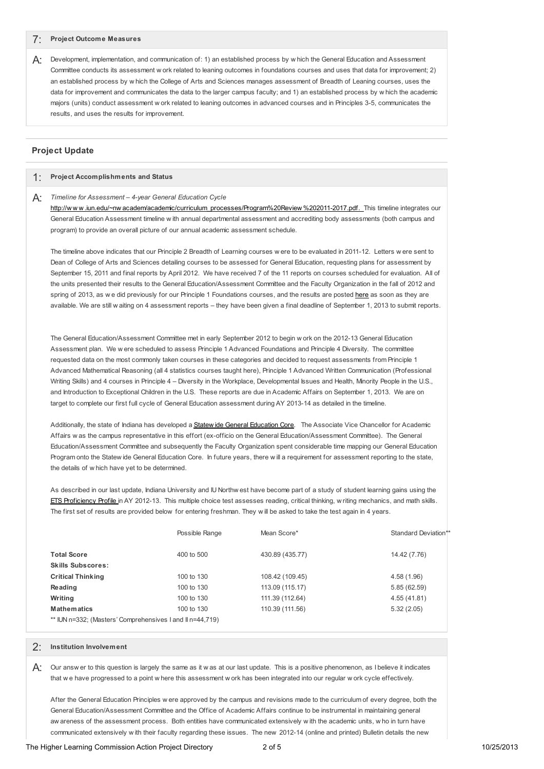## 7: **Project Outcome Measures**

 $A$ : Development, implementation, and communication of: 1) an established process by w hich the General Education and Assessment Committee conducts its assessment w ork related to leaning outcomes in foundations courses and uses that data for improvement; 2) an established process by w hich the College of Arts and Sciences manages assessment of Breadth of Leaning courses, uses the data for improvement and communicates the data to the larger campus faculty; and 1) an established process by w hich the academic majors (units) conduct assessment w ork related to leaning outcomes in advanced courses and in Principles 3-5, communicates the results, and uses the results for improvement.

## **Project Update**

## 1: **Project Accomplishments and Status**

## A: *Timeline for Assessment – 4-year General Education Cycle*

http://www.iun.edu/~nwacadem/academic/curriculum\_processes/Program%20Review %202011-2017.pdf. This timeline integrates our General Education Assessment timeline w ith annual departmental assessment and accrediting body assessments (both campus and program) to provide an overall picture of our annual academic assessment schedule.

 The timeline above indicates that our Principle 2 Breadth of Learning courses w ere to be evaluated in 2011-12. Letters w ere sent to Dean of College of Arts and Sciences detailing courses to be assessed for General Education, requesting plans for assessment by September 15, 2011 and final reports by April 2012. We have received 7 of the 11 reports on courses scheduled for evaluation. All of the units presented their results to the General Education/Assessment Committee and the Faculty Organization in the fall of 2012 and spring of 2013, as we did previously for our Principle 1 Foundations courses, and the results are posted <u>[here](http://www.iun.edu/~nwacadem/caslo/results/index.shtml)</u> as soon as they are available. We are still w aiting on 4 assessment reports – they have been given a final deadline of September 1, 2013 to submit reports.

 The General Education/Assessment Committee met in early September 2012 to begin w ork on the 2012-13 General Education Assessment plan. We w ere scheduled to assess Principle 1 Advanced Foundations and Principle 4 Diversity. The committee requested data on the most commonly taken courses in these categories and decided to request assessments from Principle 1 Advanced Mathematical Reasoning (all 4 statistics courses taught here), Principle 1 Advanced Written Communication (Professional Writing Skills) and 4 courses in Principle 4 – Diversity in the Workplace, Developmental Issues and Health, Minority People in the U.S., and Introduction to Exceptional Children in the U.S. These reports are due in Academic Affairs on September 1, 2013. We are on target to complete our first full cycle of General Education assessment during AY 2013-14 as detailed in the timeline.

Additionally, the state of Indiana has developed a **Statew ide General [Education](http://www.in.gov/che/2728.htm) Core**. The Associate Vice Chancellor for Academic Affairs w as the campus representative in this effort (ex-officio on the General Education/Assessment Committee). The General Education/Assessment Committee and subsequently the Faculty Organization spent considerable time mapping our General Education Program onto the Statew ide General Education Core. In future years, there w ill a requirement for assessment reporting to the state, the details of w hich have yet to be determined.

 As described in our last update, Indiana University and IU Northw est have become part of a study of student learning gains using the [ETS](http://www.ets.org/proficiencyprofile/about/content/) [Proficiency](http://www.ets.org/proficiencyprofile/about/content/) Profile in AY 2012-13. This multiple choice test assesses reading, critical thinking, w riting mechanics, and math skills. The first set of results are provided below for entering freshman. They w ill be asked to take the test again in 4 years.

|                                                           | Possible Range | Mean Score*     | Standard Deviation** |
|-----------------------------------------------------------|----------------|-----------------|----------------------|
| <b>Total Score</b>                                        | 400 to 500     | 430.89 (435.77) | 14.42 (7.76)         |
| <b>Skills Subscores:</b>                                  |                |                 |                      |
| <b>Critical Thinking</b>                                  | 100 to 130     | 108.42 (109.45) | 4.58 (1.96)          |
| Reading                                                   | 100 to 130     | 113.09 (115.17) | 5.85(62.59)          |
| Writing                                                   | 100 to 130     | 111.39 (112.64) | 4.55 (41.81)         |
| <b>Mathematics</b>                                        | 100 to 130     | 110.39 (111.56) | 5.32(2.05)           |
| ** IUN n=332; (Masters' Comprehensives I and II n=44,719) |                |                 |                      |

#### 2: **Institution Involvement**

 $A$ : Our answ er to this question is largely the same as it w as at our last update. This is a positive phenomenon, as I believe it indicates that w e have progressed to a point w here this assessment w ork has been integrated into our regular w ork cycle effectively.

 After the General Education Principles w ere approved by the campus and revisions made to the curriculum of every degree, both the General Education/Assessment Committee and the Office of Academic Affairs continue to be instrumental in maintaining general aw areness of the assessment process. Both entities have communicated extensively w ith the academic units, w ho in turn have communicated extensively w ith their faculty regarding these issues. The new 2012-14 (online and printed) Bulletin details the new

The Higher Learning Commission Action Project Directory **2 of 5** 10/25/2013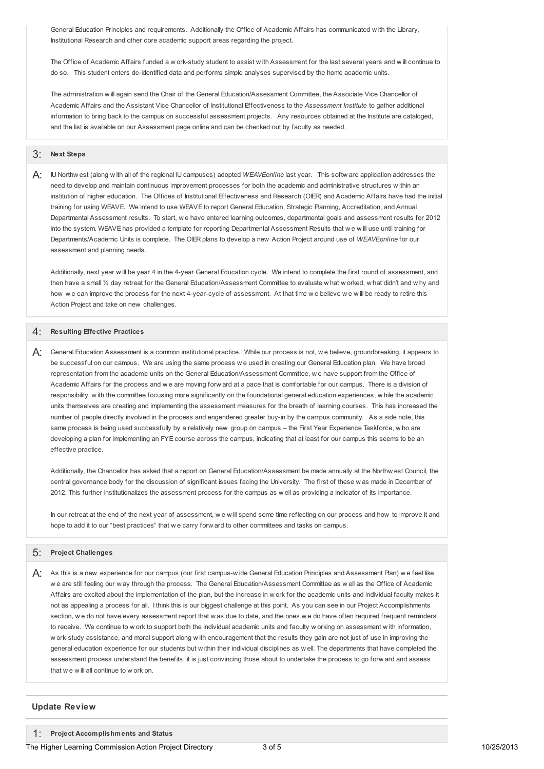General Education Principles and requirements. Additionally the Office of Academic Affairs has communicated w ith the Library, Institutional Research and other core academic support areas regarding the project.

 The Office of Academic Affairs funded a w ork-study student to assist w ith Assessment for the last several years and w ill continue to do so. This student enters de-identified data and performs simple analyses supervised by the home academic units.

 The administration w ill again send the Chair of the General Education/Assessment Committee, the Associate Vice Chancellor of Academic Affairs and the Assistant Vice Chancellor of Institutional Effectiveness to the *Assessment Institute* to gather additional information to bring back to the campus on successful assessment projects. Any resources obtained at the Institute are cataloged, and the list is available on our Assessment page online and can be checked out by faculty as needed.

## 3: **Next Steps**

 A: IU Northw est (along <sup>w</sup> ith all of the regional IU campuses) adopted *WEAVEonline* last year. This softw are application addresses the need to develop and maintain continuous improvement processes for both the academic and administrative structures w ithin an institution of higher education. The Offices of Institutional Effectiveness and Research (OIER) and Academic Affairs have had the initial training for using WEAVE. We intend to use WEAVE to report General Education, Strategic Planning, Accreditation, and Annual Departmental Assessment results. To start, w e have entered learning outcomes, departmental goals and assessment results for 2012 into the system. WEAVE has provided a template for reporting Departmental Assessment Results that w e w ill use until training for Departments/Academic Units is complete. The OIER plans to develop a new Action Project around use of *WEAVEonline* for our assessment and planning needs.

 Additionally, next year w ill be year 4 in the 4-year General Education cycle. We intend to complete the first round of assessment, and then have a small ½ day retreat for the General Education/Assessment Committee to evaluate w hat w orked, w hat didn't and w hy and how w e can improve the process for the next 4-year-cycle of assessment. At that time w e believe w e w ill be ready to retire this Action Project and take on new challenges.

## 4: **Resulting Effective Practices**

 $A$ : General Education Assessment is a common institutional practice. While our process is not, w e believe, groundbreaking, it appears to be successful on our campus. We are using the same process w e used in creating our General Education plan. We have broad representation from the academic units on the General Education/Assessment Committee, w e have support from the Office of Academic Affairs for the process and w e are moving forw ard at a pace that is comfortable for our campus. There is a division of responsibility, w ith the committee focusing more significantly on the foundational general education experiences, w hile the academic units themselves are creating and implementing the assessment measures for the breath of learning courses. This has increased the number of people directly involved in the process and engendered greater buy-in by the campus community. As a side note, this same process is being used successfully by a relatively new group on campus – the First Year Experience Taskforce, w ho are developing a plan for implementing an FYE course across the campus, indicating that at least for our campus this seems to be an effective practice.

 Additionally, the Chancellor has asked that a report on General Education/Assessment be made annually at the Northw est Council, the central governance body for the discussion of significant issues facing the University. The first of these w as made in December of 2012. This further institutionalizes the assessment process for the campus as w ell as providing a indicator of its importance.

 In our retreat at the end of the next year of assessment, w e w ill spend some time reflecting on our process and how to improve it and hope to add it to our "best practices" that w e carry forw ard to other committees and tasks on campus.

#### 5: **Project Challenges**

 $A$ : As this is a new experience for our campus (our first campus-wide General Education Principles and Assessment Plan) we feel like w e are still feeling our w ay through the process. The General Education/Assessment Committee as w ell as the Office of Academic Affairs are excited about the implementation of the plan, but the increase in w ork for the academic units and individual faculty makes it not as appealing a process for all. I think this is our biggest challenge at this point. As you can see in our Project Accomplishments section, w e do not have every assessment report that w as due to date, and the ones w e do have often required frequent reminders to receive. We continue to w ork to support both the individual academic units and faculty w orking on assessment w ith information, w ork-study assistance, and moral support along w ith encouragement that the results they gain are not just of use in improving the general education experience for our students but w ithin their individual disciplines as w ell. The departments that have completed the assessment process understand the benefits, it is just convincing those about to undertake the process to go forw ard and assess that w e w ill all continue to w ork on.

#### **Update Review**

 1: **Project Accomplishments and Status**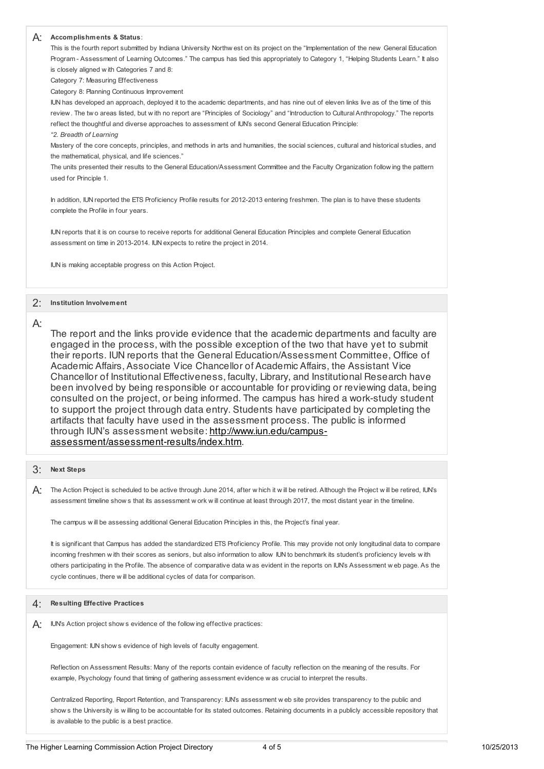## A: **Accomplishments & Status**:

 This is the fourth report submitted by Indiana University Northw est on its project on the "Implementation of the new General Education Program - Assessment of Learning Outcomes." The campus has tied this appropriately to Category 1, "Helping Students Learn." It also is closely aligned w ith Categories 7 and 8:

Category 7: Measuring Effectiveness

Category 8: Planning Continuous Improvement

 IUN has developed an approach, deployed it to the academic departments, and has nine out of eleven links live as of the time of this review. The tw o areas listed, but w ith no report are "Principles of Sociology" and "Introduction to Cultural Anthropology." The reports reflect the thoughtful and diverse approaches to assessment of IUN's second General Education Principle:

#### *"2. Breadth of Learning*

 Mastery of the core concepts, principles, and methods in arts and humanities, the social sciences, cultural and historical studies, and the mathematical, physical, and life sciences."

 The units presented their results to the General Education/Assessment Committee and the Faculty Organization follow ing the pattern used for Principle 1.

 In addition, IUN reported the ETS Proficiency Profile results for 2012-2013 entering freshmen. The plan is to have these students complete the Profile in four years.

 IUN reports that it is on course to receive reports for additional General Education Principles and complete General Education assessment on time in 2013-2014. IUN expects to retire the project in 2014.

IUN is making acceptable progress on this Action Project.

## 2: **Institution Involvement**

## A:

 The report and the links provide evidence that the academic departments and faculty are engaged in the process, with the possible exception of the two that have yet to submit their reports. IUN reports that the General Education/Assessment Committee, Office of Academic Affairs, Associate Vice Chancellor of Academic Affairs, the Assistant Vice Chancellor of Institutional Effectiveness, faculty, Library, and Institutional Research have been involved by being responsible or accountable for providing or reviewing data, being consulted on the project, or being informed. The campus has hired a work-study student to support the project through data entry. Students have participated by completing the artifacts that faculty have used in the assessment process. The public is informed through IUN's assessment website: <u>http://www.iun.edu/campus-</u> [assessment/assessment-results/index.htm.](http://www.iun.edu/campus-assessment/assessment-results/index.htm)

## 3: **Next Steps**

 $\mathsf{A}$ : The Action Project is scheduled to be active through June 2014, after w hich it w ill be retired. Although the Project w ill be retired, IUN's assessment timeline show s that its assessment w ork w ill continue at least through 2017, the most distant year in the timeline.

The campus w ill be assessing additional General Education Principles in this, the Project's final year.

 It is significant that Campus has added the standardized ETS Proficiency Profile. This may provide not only longitudinal data to compare incoming freshmen w ith their scores as seniors, but also information to allow IUN to benchmark its student's proficiency levels w ith others participating in the Profile. The absence of comparative data w as evident in the reports on IUN's Assessment w eb page. As the cycle continues, there w ill be additional cycles of data for comparison.

# 4: **Resulting Effective Practices**

 $\mathsf{A}$ : IUN's Action project show s evidence of the follow ing effective practices:

Engagement: IUN show s evidence of high levels of faculty engagement.

 Reflection on Assessment Results: Many of the reports contain evidence of faculty reflection on the meaning of the results. For example, Psychology found that timing of gathering assessment evidence w as crucial to interpret the results.

 Centralized Reporting, Report Retention, and Transparency: IUN's assessment w eb site provides transparency to the public and show s the University is w illing to be accountable for its stated outcomes. Retaining documents in a publicly accessible repository that is available to the public is a best practice.